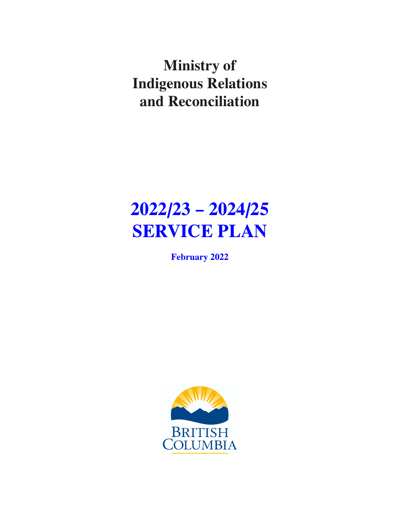**Ministry of Indigenous Relations and Reconciliation**

# **2022/23 – 2024/25 SERVICE PLAN**

**February 2022**

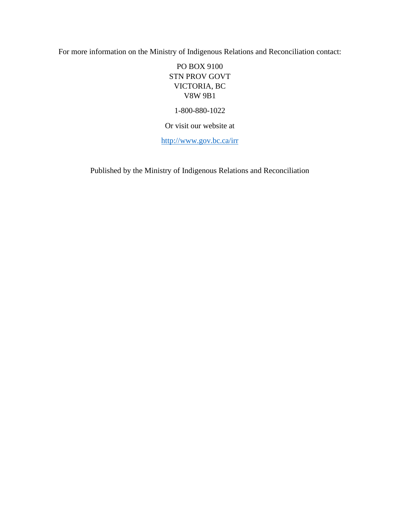For more information on the Ministry of Indigenous Relations and Reconciliation contact:

PO BOX 9100 STN PROV GOVT VICTORIA, BC V8W 9B1

1-800-880-1022

Or visit our website at

<http://www.gov.bc.ca/irr>

Published by the Ministry of Indigenous Relations and Reconciliation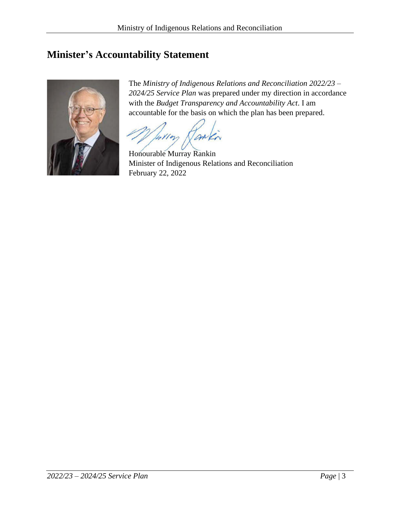# <span id="page-2-0"></span>**Minister's Accountability Statement**



The *Ministry of Indigenous Relations and Reconciliation 2022/23 – 2024/25 Service Plan* was prepared under my direction in accordance with the *Budget Transparency and Accountability Act*. I am accountable for the basis on which the plan has been prepared.

Willow

Honourable Murray Rankin Minister of Indigenous Relations and Reconciliation February 22, 2022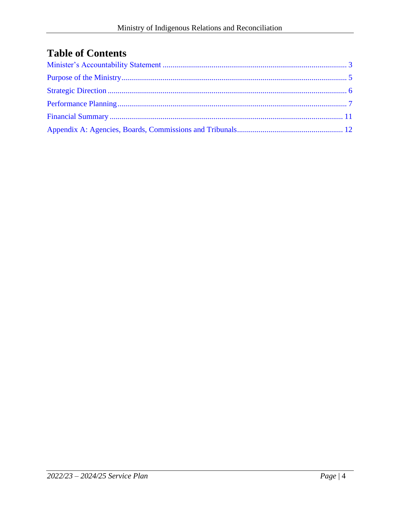# **Table of Contents**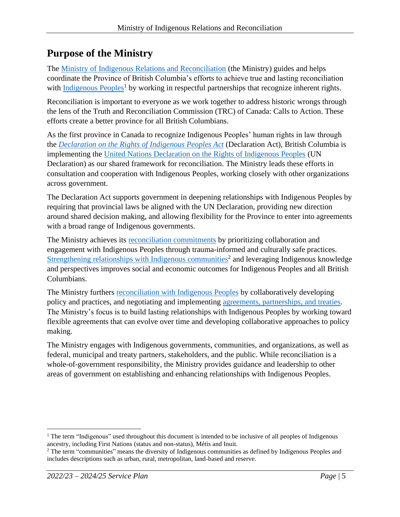# <span id="page-4-0"></span>**Purpose of the Ministry**

The [Ministry of Indigenous Relations and Reconciliation](https://www2.gov.bc.ca/gov/content/governments/organizational-structure/ministries-organizations/ministries/indigenous-relations-reconciliation) (the Ministry) guides and helps coordinate the Province of British Columbia's efforts to achieve true and lasting reconciliation with [Indigenous Peoples](https://www2.gov.bc.ca/gov/content/governments/indigenous-people)<sup>1</sup> by working in respectful partnerships that recognize inherent rights.

Reconciliation is important to everyone as we work together to address historic wrongs through the lens of the Truth and Reconciliation Commission (TRC) of Canada: Calls to Action. These efforts create a better province for all British Columbians.

As the first province in Canada to recognize Indigenous Peoples' human rights in law through the *[Declaration on the Rights of Indigenous Peoples Act](https://declaration.gov.bc.ca/)* (Declaration Act), British Columbia is implementing the [United Nations Declaration on the Rights of Indigenous Peoples](https://www.un.org/esa/socdev/unpfii/documents/DRIPS_en.pdf) (UN Declaration) as our shared framework for reconciliation. The Ministry leads these efforts in consultation and cooperation with Indigenous Peoples, working closely with other organizations across government.

The Declaration Act supports government in deepening relationships with Indigenous Peoples by requiring that provincial laws be aligned with the UN Declaration, providing new direction around shared decision making, and allowing flexibility for the Province to enter into agreements with a broad range of Indigenous governments.

The Ministry achieves its [reconciliation commitments](https://www2.gov.bc.ca/gov/content/governments/indigenous-people/new-relationship) by prioritizing collaboration and engagement with Indigenous Peoples through trauma-informed and culturally safe practices. [Strengthening relationships with Indigenous communities](https://www2.gov.bc.ca/gov/content/governments/indigenous-people/supporting-communities)<sup>2</sup> and leveraging Indigenous knowledge and perspectives improves social and economic outcomes for Indigenous Peoples and all British Columbians.

The Ministry furthers [reconciliation with Indigenous Peoples](https://www2.gov.bc.ca/gov/content/environment/natural-resource-stewardship/consulting-with-first-nations/first-nations-negotiations/reconciliation-other-agreements) by collaboratively developing policy and practices, and negotiating and implementing [agreements, partnerships, and treaties.](https://www2.gov.bc.ca/gov/content/environment/natural-resource-stewardship/consulting-with-first-nations/first-nations-negotiations) The Ministry's focus is to build lasting relationships with Indigenous Peoples by working toward flexible agreements that can evolve over time and developing collaborative approaches to policy making.

The Ministry engages with Indigenous governments, communities, and organizations, as well as federal, municipal and treaty partners, stakeholders, and the public. While reconciliation is a whole-of-government responsibility, the Ministry provides guidance and leadership to other areas of government on establishing and enhancing relationships with Indigenous Peoples.

<sup>&</sup>lt;sup>1</sup> The term "Indigenous" used throughout this document is intended to be inclusive of all peoples of Indigenous ancestry, including First Nations (status and non-status), Métis and Inuit.

<sup>&</sup>lt;sup>2</sup> The term "communities" means the diversity of Indigenous communities as defined by Indigenous Peoples and includes descriptions such as urban, rural, metropolitan, land-based and reserve.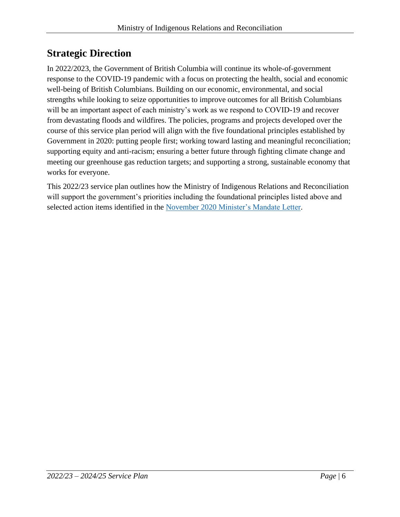# <span id="page-5-0"></span>**Strategic Direction**

In 2022/2023, the Government of British Columbia will continue its whole-of-government response to the COVID-19 pandemic with a focus on protecting the health, social and economic well-being of British Columbians. Building on our economic, environmental, and social strengths while looking to seize opportunities to improve outcomes for all British Columbians will be an important aspect of each ministry's work as we respond to COVID-19 and recover from devastating floods and wildfires. The policies, programs and projects developed over the course of this service plan period will align with the five foundational principles established by Government in 2020: putting people first; working toward lasting and meaningful reconciliation; supporting equity and anti-racism; ensuring a better future through fighting climate change and meeting our greenhouse gas reduction targets; and supporting a strong, sustainable economy that works for everyone.

This 2022/23 service plan outlines how the Ministry of Indigenous Relations and Reconciliation will support the government's priorities including the foundational principles listed above and selected action items identified in the November 2020 [Minister's Mandate Letter.](https://www2.gov.bc.ca/assets/gov/government/ministries-organizations/premier-cabinet-mlas/minister-letter/rankin_mandate_2020.pdf)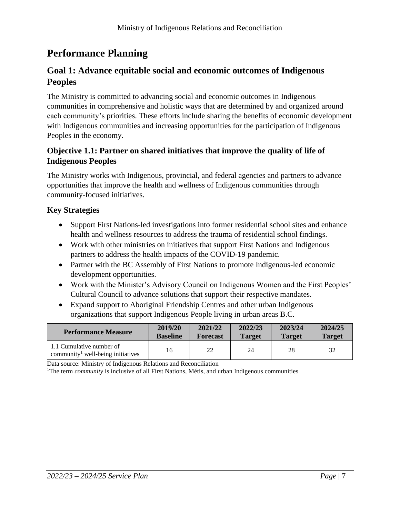# <span id="page-6-0"></span>**Performance Planning**

# **Goal 1: Advance equitable social and economic outcomes of Indigenous Peoples**

The Ministry is committed to advancing social and economic outcomes in Indigenous communities in comprehensive and holistic ways that are determined by and organized around each community's priorities. These efforts include sharing the benefits of economic development with Indigenous communities and increasing opportunities for the participation of Indigenous Peoples in the economy.

## **Objective 1.1: Partner on shared initiatives that improve the quality of life of Indigenous Peoples**

The Ministry works with Indigenous, provincial, and federal agencies and partners to advance opportunities that improve the health and wellness of Indigenous communities through community-focused initiatives.

## **Key Strategies**

- Support First Nations-led investigations into former residential school sites and enhance health and wellness resources to address the trauma of residential school findings.
- Work with other ministries on initiatives that support First Nations and Indigenous partners to address the health impacts of the COVID-19 pandemic.
- Partner with the BC Assembly of First Nations to promote Indigenous-led economic development opportunities.
- Work with the Minister's Advisory Council on Indigenous Women and the First Peoples' Cultural Council to advance solutions that support their respective mandates.
- Expand support to Aboriginal Friendship Centres and other urban Indigenous organizations that support Indigenous People living in urban areas B.C.

| <b>Performance Measure</b>                                                | 2019/20         | 2021/22         | 2022/23       | 2023/24       | 2024/25       |
|---------------------------------------------------------------------------|-----------------|-----------------|---------------|---------------|---------------|
|                                                                           | <b>Baseline</b> | <b>Forecast</b> | <b>Target</b> | <b>Target</b> | <b>Target</b> |
| 1.1 Cumulative number of<br>community <sup>1</sup> well-being initiatives | 16              | 22              | 24            | 28            | 32            |

Data source: Ministry of Indigenous Relations and Reconciliation

<sup>1</sup>The term *community* is inclusive of all First Nations, Métis, and urban Indigenous communities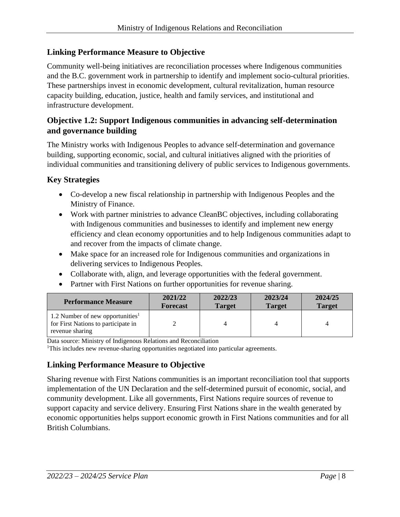#### **Linking Performance Measure to Objective**

Community well-being initiatives are reconciliation processes where Indigenous communities and the B.C. government work in partnership to identify and implement socio-cultural priorities. These partnerships invest in economic development, cultural revitalization, human resource capacity building, education, justice, health and family services, and institutional and infrastructure development.

## **Objective 1.2: Support Indigenous communities in advancing self-determination and governance building**

The Ministry works with Indigenous Peoples to advance self-determination and governance building, supporting economic, social, and cultural initiatives aligned with the priorities of individual communities and transitioning delivery of public services to Indigenous governments.

#### **Key Strategies**

- Co-develop a new fiscal relationship in partnership with Indigenous Peoples and the Ministry of Finance.
- Work with partner ministries to advance CleanBC objectives, including collaborating with Indigenous communities and businesses to identify and implement new energy efficiency and clean economy opportunities and to help Indigenous communities adapt to and recover from the impacts of climate change.
- Make space for an increased role for Indigenous communities and organizations in delivering services to Indigenous Peoples.
- Collaborate with, align, and leverage opportunities with the federal government.
- Partner with First Nations on further opportunities for revenue sharing.

| <b>Performance Measure</b>                                                                             | 2021/22         | 2022/23       | 2023/24       | 2024/25       |
|--------------------------------------------------------------------------------------------------------|-----------------|---------------|---------------|---------------|
|                                                                                                        | <b>Forecast</b> | <b>Target</b> | <b>Target</b> | <b>Target</b> |
| 1.2 Number of new opportunities <sup>1</sup><br>for First Nations to participate in<br>revenue sharing |                 |               |               |               |

Data source: Ministry of Indigenous Relations and Reconciliation

<sup>1</sup>This includes new revenue-sharing opportunities negotiated into particular agreements.

## **Linking Performance Measure to Objective**

Sharing revenue with First Nations communities is an important reconciliation tool that supports implementation of the UN Declaration and the self-determined pursuit of economic, social, and community development. Like all governments, First Nations require sources of revenue to support capacity and service delivery. Ensuring First Nations share in the wealth generated by economic opportunities helps support economic growth in First Nations communities and for all British Columbians.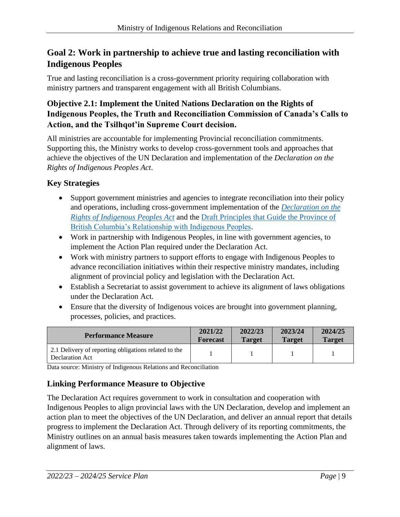# **Goal 2: Work in partnership to achieve true and lasting reconciliation with Indigenous Peoples**

True and lasting reconciliation is a cross-government priority requiring collaboration with ministry partners and transparent engagement with all British Columbians.

## **Objective 2.1: Implement the United Nations Declaration on the Rights of Indigenous Peoples, the Truth and Reconciliation Commission of Canada's Calls to Action, and the Tsilhqot'in Supreme Court decision.**

All ministries are accountable for implementing Provincial reconciliation commitments. Supporting this, the Ministry works to develop cross-government tools and approaches that achieve the objectives of the UN Declaration and implementation of the *Declaration on the Rights of Indigenous Peoples Act*.

# **Key Strategies**

- Support government ministries and agencies to integrate reconciliation into their policy and operations, including cross-government implementation of the *[Declaration on the](https://www2.gov.bc.ca/gov/content/governments/indigenous-people/new-relationship/united-nations-declaration-on-the-rights-of-indigenous-peoples)  [Rights of Indigenous Peoples Act](https://www2.gov.bc.ca/gov/content/governments/indigenous-people/new-relationship/united-nations-declaration-on-the-rights-of-indigenous-peoples)* and the [Draft Principles that Guide the Province of](https://www2.gov.bc.ca/assets/gov/careers/about-the-bc-public-service/diversity-inclusion-respect/draft_principles.pdf)  [British Columbia's Relationship with Indigenous Peoples.](https://www2.gov.bc.ca/assets/gov/careers/about-the-bc-public-service/diversity-inclusion-respect/draft_principles.pdf)
- Work in partnership with Indigenous Peoples, in line with government agencies, to implement the Action Plan required under the Declaration Act.
- Work with ministry partners to support efforts to engage with Indigenous Peoples to advance reconciliation initiatives within their respective ministry mandates, including alignment of provincial policy and legislation with the Declaration Act.
- Establish a Secretariat to assist government to achieve its alignment of laws obligations under the Declaration Act.
- Ensure that the diversity of Indigenous voices are brought into government planning, processes, policies, and practices.

| <b>Performance Measure</b>                                              | 2021/22         | 2022/23       | 2023/24       | 2024/25       |
|-------------------------------------------------------------------------|-----------------|---------------|---------------|---------------|
|                                                                         | <b>Forecast</b> | <b>Target</b> | <b>Target</b> | <b>Target</b> |
| 2.1 Delivery of reporting obligations related to the<br>Declaration Act |                 |               |               |               |

Data source: Ministry of Indigenous Relations and Reconciliation

# **Linking Performance Measure to Objective**

The Declaration Act requires government to work in consultation and cooperation with Indigenous Peoples to align provincial laws with the UN Declaration, develop and implement an action plan to meet the objectives of the UN Declaration, and deliver an annual report that details progress to implement the Declaration Act. Through delivery of its reporting commitments, the Ministry outlines on an annual basis measures taken towards implementing the Action Plan and alignment of laws.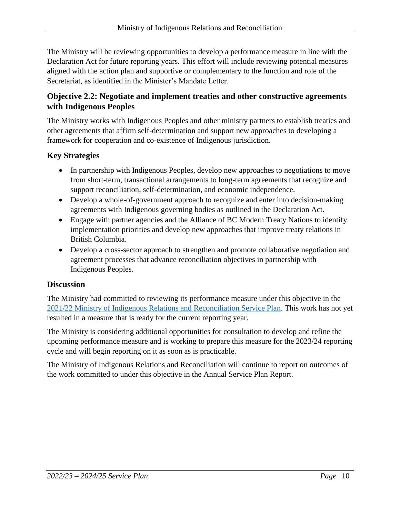The Ministry will be reviewing opportunities to develop a performance measure in line with the Declaration Act for future reporting years. This effort will include reviewing potential measures aligned with the action plan and supportive or complementary to the function and role of the Secretariat, as identified in the Minister's Mandate Letter.

## **Objective 2.2: Negotiate and implement treaties and other constructive agreements with Indigenous Peoples**

The Ministry works with Indigenous Peoples and other ministry partners to establish treaties and other agreements that affirm self-determination and support new approaches to developing a framework for cooperation and co-existence of Indigenous jurisdiction.

## **Key Strategies**

- In partnership with Indigenous Peoples, develop new approaches to negotiations to move from short-term, transactional arrangements to long-term agreements that recognize and support reconciliation, self-determination, and economic independence.
- Develop a whole-of-government approach to recognize and enter into decision-making agreements with Indigenous governing bodies as outlined in the Declaration Act.
- Engage with partner agencies and the Alliance of BC Modern Treaty Nations to identify implementation priorities and develop new approaches that improve treaty relations in British Columbia.
- Develop a cross-sector approach to strengthen and promote collaborative negotiation and agreement processes that advance reconciliation objectives in partnership with Indigenous Peoples.

## **Discussion**

The Ministry had committed to reviewing its performance measure under this objective in the [2021/22 Ministry of Indigenous Relations and Reconciliation Service Plan.](https://www.bcbudget.gov.bc.ca/2021/sp/pdf/ministry/irr.pdf) This work has not yet resulted in a measure that is ready for the current reporting year.

The Ministry is considering additional opportunities for consultation to develop and refine the upcoming performance measure and is working to prepare this measure for the 2023/24 reporting cycle and will begin reporting on it as soon as is practicable.

The Ministry of Indigenous Relations and Reconciliation will continue to report on outcomes of the work committed to under this objective in the Annual Service Plan Report.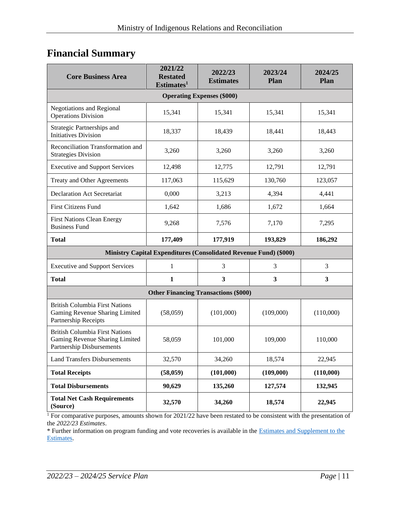# <span id="page-10-0"></span>**Financial Summary**

| <b>Core Business Area</b>                                                                            | 2021/22<br><b>Restated</b><br>Estimates <sup>1</sup> | 2022/23<br><b>Estimates</b> | 2023/24<br>Plan | 2024/25<br>Plan |  |  |
|------------------------------------------------------------------------------------------------------|------------------------------------------------------|-----------------------------|-----------------|-----------------|--|--|
| <b>Operating Expenses (\$000)</b>                                                                    |                                                      |                             |                 |                 |  |  |
| <b>Negotiations and Regional</b><br><b>Operations Division</b>                                       | 15,341                                               | 15,341                      | 15,341          | 15,341          |  |  |
| Strategic Partnerships and<br><b>Initiatives Division</b>                                            | 18,337                                               | 18,439                      | 18,441          | 18,443          |  |  |
| Reconciliation Transformation and<br><b>Strategies Division</b>                                      | 3,260                                                | 3,260                       | 3,260           | 3,260           |  |  |
| <b>Executive and Support Services</b>                                                                | 12,498                                               | 12,775                      | 12,791          | 12,791          |  |  |
| Treaty and Other Agreements                                                                          | 117,063                                              | 115,629                     | 130,760         | 123,057         |  |  |
| <b>Declaration Act Secretariat</b>                                                                   | 0,000                                                | 3,213                       | 4,394           | 4,441           |  |  |
| <b>First Citizens Fund</b>                                                                           | 1,642                                                | 1,686                       | 1,672           | 1,664           |  |  |
| <b>First Nations Clean Energy</b><br><b>Business Fund</b>                                            | 9,268                                                | 7,576                       | 7,170           | 7,295           |  |  |
| <b>Total</b>                                                                                         | 177,409                                              | 177,919                     | 193,829         | 186,292         |  |  |
| Ministry Capital Expenditures (Consolidated Revenue Fund) (\$000)                                    |                                                      |                             |                 |                 |  |  |
| <b>Executive and Support Services</b>                                                                | 1                                                    | 3                           | 3               | 3               |  |  |
| <b>Total</b>                                                                                         | $\mathbf{1}$                                         | $\mathbf{3}$                | $\mathbf{3}$    | 3               |  |  |
| <b>Other Financing Transactions (\$000)</b>                                                          |                                                      |                             |                 |                 |  |  |
| <b>British Columbia First Nations</b><br>Gaming Revenue Sharing Limited<br>Partnership Receipts      | (58,059)                                             | (101,000)                   | (109,000)       | (110,000)       |  |  |
| <b>British Columbia First Nations</b><br>Gaming Revenue Sharing Limited<br>Partnership Disbursements | 58,059                                               | 101,000                     | 109,000         | 110,000         |  |  |
| <b>Land Transfers Disbursements</b>                                                                  | 32,570                                               | 34,260                      | 18,574          | 22,945          |  |  |
| <b>Total Receipts</b>                                                                                | (58, 059)                                            | (101,000)                   | (109,000)       | (110,000)       |  |  |
| <b>Total Disbursements</b>                                                                           | 90,629                                               | 135,260                     | 127,574         | 132,945         |  |  |
| <b>Total Net Cash Requirements</b><br>(Source)                                                       | 32,570                                               | 34,260                      | 18,574          | 22,945          |  |  |

<sup>1</sup> For comparative purposes, amounts shown for 2021/22 have been restated to be consistent with the presentation of the *2022/23 Estimates*.

\* Further information on program funding and vote recoveries is available in the [Estimates and Supplement to the](http://www.bcbudget.gov.bc.ca/)  [Estimates.](http://www.bcbudget.gov.bc.ca/)